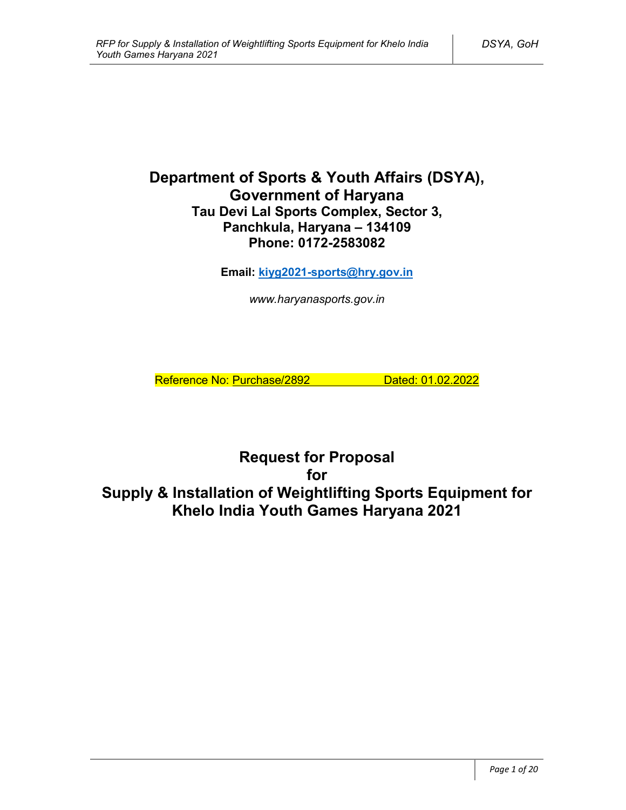# **Department of Sports & Youth Affairs (DSYA), Government of Haryana Tau Devi Lal Sports Complex, Sector 3, Panchkula, Haryana – 134109 Phone: 0172-2583082**

**Email: kiyg2021-sports@hry.gov.in**

*www.haryanasports.gov.in*

Reference No: Purchase/2892 Dated: 01.02.2022

**Request for Proposal for Supply & Installation of Weightlifting Sports Equipment for Khelo India Youth Games Haryana 2021**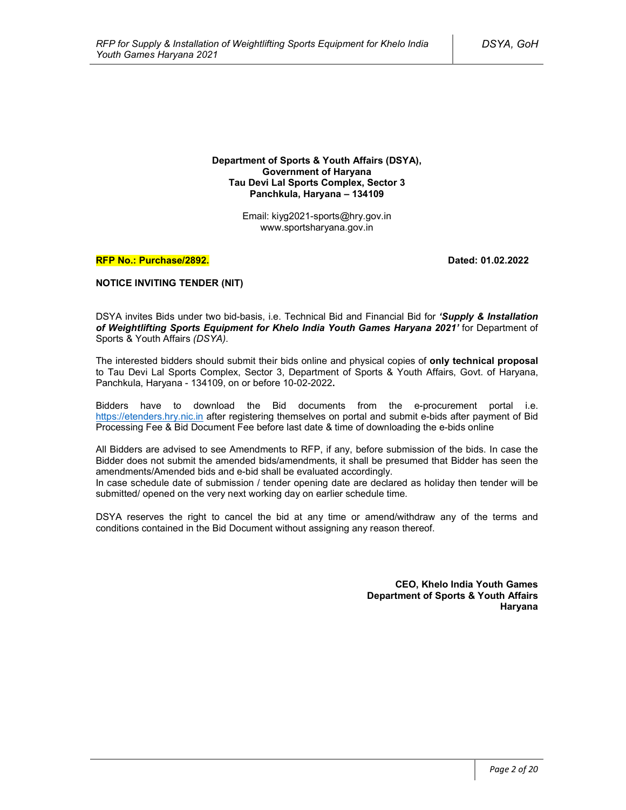**Department of Sports & Youth Affairs (DSYA), Government of Haryana Tau Devi Lal Sports Complex, Sector 3 Panchkula, Haryana – 134109**

> Email: kiyg2021-sports@hry.gov.in www.sportsharyana.gov.in

#### **RFP No.: Purchase/2892. Dated: 01.02.2022**

#### **NOTICE INVITING TENDER (NIT)**

DSYA invites Bids under two bid-basis, i.e. Technical Bid and Financial Bid for *'Supply & Installation of Weightlifting Sports Equipment for Khelo India Youth Games Haryana 2021'* for Department of Sports & Youth Affairs *(DSYA)*.

The interested bidders should submit their bids online and physical copies of **only technical proposal** to Tau Devi Lal Sports Complex, Sector 3, Department of Sports & Youth Affairs, Govt. of Haryana, Panchkula, Haryana - 134109, on or before 10-02-2022**.**

Bidders have to download the Bid documents from the e-procurement portal i.e. https://etenders.hry.nic.in after registering themselves on portal and submit e-bids after payment of Bid Processing Fee & Bid Document Fee before last date & time of downloading the e-bids online

All Bidders are advised to see Amendments to RFP, if any, before submission of the bids. In case the Bidder does not submit the amended bids/amendments, it shall be presumed that Bidder has seen the amendments/Amended bids and e-bid shall be evaluated accordingly.

In case schedule date of submission / tender opening date are declared as holiday then tender will be submitted/ opened on the very next working day on earlier schedule time.

DSYA reserves the right to cancel the bid at any time or amend/withdraw any of the terms and conditions contained in the Bid Document without assigning any reason thereof.

> **CEO, Khelo India Youth Games Department of Sports & Youth Affairs Haryana**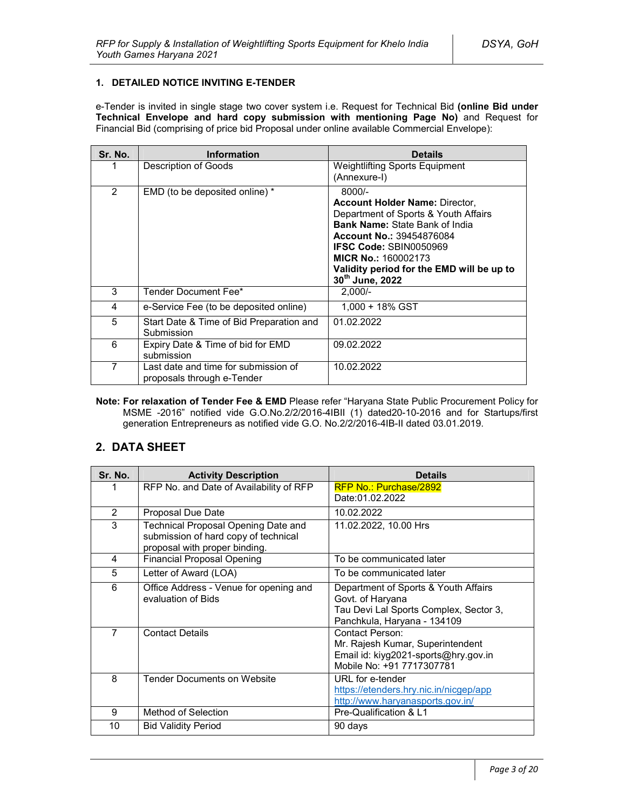### **1. DETAILED NOTICE INVITING E-TENDER**

e-Tender is invited in single stage two cover system i.e. Request for Technical Bid **(online Bid under Technical Envelope and hard copy submission with mentioning Page No)** and Request for Financial Bid (comprising of price bid Proposal under online available Commercial Envelope):

| Sr. No. | <b>Information</b>                                                 | <b>Details</b>                                                                                                                                                                                                                                                                                       |
|---------|--------------------------------------------------------------------|------------------------------------------------------------------------------------------------------------------------------------------------------------------------------------------------------------------------------------------------------------------------------------------------------|
|         | Description of Goods                                               | <b>Weightlifting Sports Equipment</b><br>(Annexure-I)                                                                                                                                                                                                                                                |
| 2       | EMD (to be deposited online) *                                     | $8000/-$<br><b>Account Holder Name: Director,</b><br>Department of Sports & Youth Affairs<br><b>Bank Name: State Bank of India</b><br><b>Account No.: 39454876084</b><br><b>IFSC Code: SBIN0050969</b><br><b>MICR No.: 160002173</b><br>Validity period for the EMD will be up to<br>30th June, 2022 |
| 3       | Tender Document Fee*                                               | $2.000/-$                                                                                                                                                                                                                                                                                            |
| 4       | e-Service Fee (to be deposited online)                             | 1.000 + 18% GST                                                                                                                                                                                                                                                                                      |
| 5       | Start Date & Time of Bid Preparation and<br>Submission             | 01.02.2022                                                                                                                                                                                                                                                                                           |
| 6       | Expiry Date & Time of bid for EMD<br>submission                    | 09.02.2022                                                                                                                                                                                                                                                                                           |
| 7       | Last date and time for submission of<br>proposals through e-Tender | 10.02.2022                                                                                                                                                                                                                                                                                           |

**Note: For relaxation of Tender Fee & EMD** Please refer "Haryana State Public Procurement Policy for MSME -2016" notified vide G.O.No.2/2/2016-4IBII (1) dated20-10-2016 and for Startups/first generation Entrepreneurs as notified vide G.O. No.2/2/2016-4IB-II dated 03.01.2019.

# **2. DATA SHEET**

| Sr. No.        | <b>Activity Description</b>                                                                                  | <b>Details</b>                                                                                                                    |
|----------------|--------------------------------------------------------------------------------------------------------------|-----------------------------------------------------------------------------------------------------------------------------------|
|                | RFP No. and Date of Availability of RFP                                                                      | <b>RFP No.: Purchase/2892</b><br>Date:01.02.2022                                                                                  |
| 2              | Proposal Due Date                                                                                            | 10.02.2022                                                                                                                        |
| 3              | Technical Proposal Opening Date and<br>submission of hard copy of technical<br>proposal with proper binding. | 11.02.2022, 10.00 Hrs                                                                                                             |
| 4              | <b>Financial Proposal Opening</b>                                                                            | To be communicated later                                                                                                          |
| 5              | Letter of Award (LOA)                                                                                        | To be communicated later                                                                                                          |
| 6              | Office Address - Venue for opening and<br>evaluation of Bids                                                 | Department of Sports & Youth Affairs<br>Govt. of Haryana<br>Tau Devi Lal Sports Complex, Sector 3,<br>Panchkula, Haryana - 134109 |
| $\overline{7}$ | <b>Contact Details</b>                                                                                       | Contact Person:<br>Mr. Rajesh Kumar, Superintendent<br>Email id: kiyg2021-sports@hry.gov.in<br>Mobile No: +91 7717307781          |
| 8              | <b>Tender Documents on Website</b>                                                                           | URL for e-tender<br>https://etenders.hry.nic.in/nicgep/app<br>http://www.haryanasports.gov.in/                                    |
| 9              | Method of Selection                                                                                          | Pre-Qualification & L1                                                                                                            |
| 10             | <b>Bid Validity Period</b>                                                                                   | 90 days                                                                                                                           |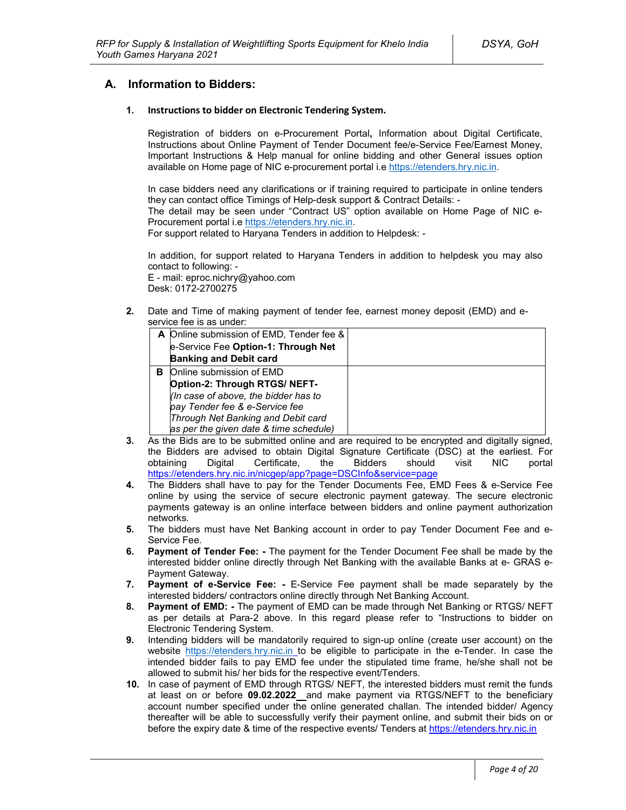### **A. Information to Bidders:**

#### **1. Instructions to bidder on Electronic Tendering System.**

Registration of bidders on e-Procurement Portal**,** Information about Digital Certificate, Instructions about Online Payment of Tender Document fee/e-Service Fee/Earnest Money, Important Instructions & Help manual for online bidding and other General issues option available on Home page of NIC e-procurement portal i.e https://etenders.hry.nic.in.

In case bidders need any clarifications or if training required to participate in online tenders they can contact office Timings of Help-desk support & Contract Details: -

The detail may be seen under "Contract US" option available on Home Page of NIC e-Procurement portal i.e https://etenders.hry.nic.in.

For support related to Haryana Tenders in addition to Helpdesk: -

In addition, for support related to Haryana Tenders in addition to helpdesk you may also contact to following: -

E - mail: eproc.nichry@yahoo.com Desk: 0172-2700275

**2.** Date and Time of making payment of tender fee, earnest money deposit (EMD) and eservice fee is as under:

|   | A Online submission of EMD, Tender fee & |  |
|---|------------------------------------------|--|
|   | e-Service Fee Option-1: Through Net      |  |
|   | <b>Banking and Debit card</b>            |  |
| в | Online submission of EMD                 |  |
|   | Option-2: Through RTGS/ NEFT-            |  |
|   | (In case of above, the bidder has to     |  |
|   | pay Tender fee & e-Service fee           |  |
|   | Through Net Banking and Debit card       |  |
|   | as per the given date & time schedule)   |  |

- **3.** As the Bids are to be submitted online and are required to be encrypted and digitally signed, the Bidders are advised to obtain Digital Signature Certificate (DSC) at the earliest. For obtaining Digital Certificate, the Bidders should visit NIC portal https://etenders.hry.nic.in/nicgep/app?page=DSCInfo&service=page
- **4.** The Bidders shall have to pay for the Tender Documents Fee, EMD Fees & e-Service Fee online by using the service of secure electronic payment gateway. The secure electronic payments gateway is an online interface between bidders and online payment authorization networks.
- **5.** The bidders must have Net Banking account in order to pay Tender Document Fee and e-Service Fee.
- **6. Payment of Tender Fee: -** The payment for the Tender Document Fee shall be made by the interested bidder online directly through Net Banking with the available Banks at e- GRAS e-Payment Gateway.
- **7. Payment of e-Service Fee: -** E-Service Fee payment shall be made separately by the interested bidders/ contractors online directly through Net Banking Account.
- **8. Payment of EMD: -** The payment of EMD can be made through Net Banking or RTGS/ NEFT as per details at Para-2 above. In this regard please refer to "Instructions to bidder on Electronic Tendering System.
- **9.** Intending bidders will be mandatorily required to sign-up online (create user account) on the website https://etenders.hry.nic.in to be eligible to participate in the e-Tender. In case the intended bidder fails to pay EMD fee under the stipulated time frame, he/she shall not be allowed to submit his/ her bids for the respective event/Tenders.
- **10.** In case of payment of EMD through RTGS/ NEFT, the interested bidders must remit the funds at least on or before **09.02.2022** and make payment via RTGS/NEFT to the beneficiary account number specified under the online generated challan. The intended bidder/ Agency thereafter will be able to successfully verify their payment online, and submit their bids on or before the expiry date & time of the respective events/ Tenders at https://etenders.hry.nic.in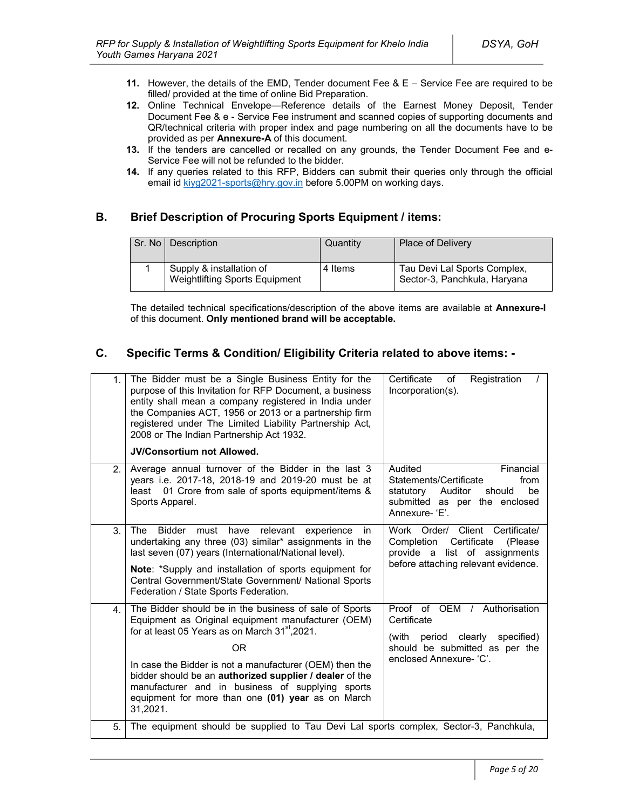- **11.** However, the details of the EMD, Tender document Fee & E Service Fee are required to be filled/ provided at the time of online Bid Preparation.
- **12.** Online Technical Envelope—Reference details of the Earnest Money Deposit, Tender Document Fee & e - Service Fee instrument and scanned copies of supporting documents and QR/technical criteria with proper index and page numbering on all the documents have to be provided as per **Annexure-A** of this document.
- **13.** If the tenders are cancelled or recalled on any grounds, the Tender Document Fee and e-Service Fee will not be refunded to the bidder.
- **14.** If any queries related to this RFP, Bidders can submit their queries only through the official email id kiyg2021-sports@hry.gov.in before 5.00PM on working days.

# **B. Brief Description of Procuring Sports Equipment / items:**

| Sr. No   Description                                              | Quantity | <b>Place of Delivery</b>                                     |
|-------------------------------------------------------------------|----------|--------------------------------------------------------------|
| Supply & installation of<br><b>Weightlifting Sports Equipment</b> | 4 Items  | Tau Devi Lal Sports Complex,<br>Sector-3, Panchkula, Haryana |

The detailed technical specifications/description of the above items are available at **Annexure-I** of this document. **Only mentioned brand will be acceptable.** 

## **C. Specific Terms & Condition/ Eligibility Criteria related to above items: -**

| 1.             | The Bidder must be a Single Business Entity for the<br>purpose of this Invitation for RFP Document, a business<br>entity shall mean a company registered in India under<br>the Companies ACT, 1956 or 2013 or a partnership firm<br>registered under The Limited Liability Partnership Act,<br>2008 or The Indian Partnership Act 1932.<br><b>JV/Consortium not Allowed.</b>                                                       | Certificate<br>Registration<br>of<br>Incorporation(s).                                                                                               |
|----------------|------------------------------------------------------------------------------------------------------------------------------------------------------------------------------------------------------------------------------------------------------------------------------------------------------------------------------------------------------------------------------------------------------------------------------------|------------------------------------------------------------------------------------------------------------------------------------------------------|
| 2 <sup>2</sup> | Average annual turnover of the Bidder in the last 3<br>years i.e. 2017-18, 2018-19 and 2019-20 must be at<br>01 Crore from sale of sports equipment/items &<br>least<br>Sports Apparel.                                                                                                                                                                                                                                            | Audited<br>Financial<br>Statements/Certificate<br>from<br>be<br>statutory<br>Auditor<br>should<br>submitted as per the enclosed<br>Annexure-'E'.     |
| 3.             | <b>Bidder</b><br>relevant<br>The<br>must<br>have<br>experience<br>in.<br>undertaking any three (03) similar* assignments in the<br>last seven (07) years (International/National level).<br>Note: *Supply and installation of sports equipment for<br>Central Government/State Government/ National Sports<br>Federation / State Sports Federation.                                                                                | Work Order/ Client Certificate/<br>Certificate<br>Completion<br>(Please)<br>provide a list of assignments<br>before attaching relevant evidence.     |
| 4 <sup>1</sup> | The Bidder should be in the business of sale of Sports<br>Equipment as Original equipment manufacturer (OEM)<br>for at least 05 Years as on March 31 <sup>st</sup> , 2021.<br><b>OR</b><br>In case the Bidder is not a manufacturer (OEM) then the<br>bidder should be an authorized supplier / dealer of the<br>manufacturer and in business of supplying sports<br>equipment for more than one (01) year as on March<br>31,2021. | Proof of OEM / Authorisation<br>Certificate<br>clearly<br>specified)<br>(with<br>period<br>should be submitted as per the<br>enclosed Annexure- 'C'. |
| 5.             | The equipment should be supplied to Tau Devi Lal sports complex, Sector-3, Panchkula,                                                                                                                                                                                                                                                                                                                                              |                                                                                                                                                      |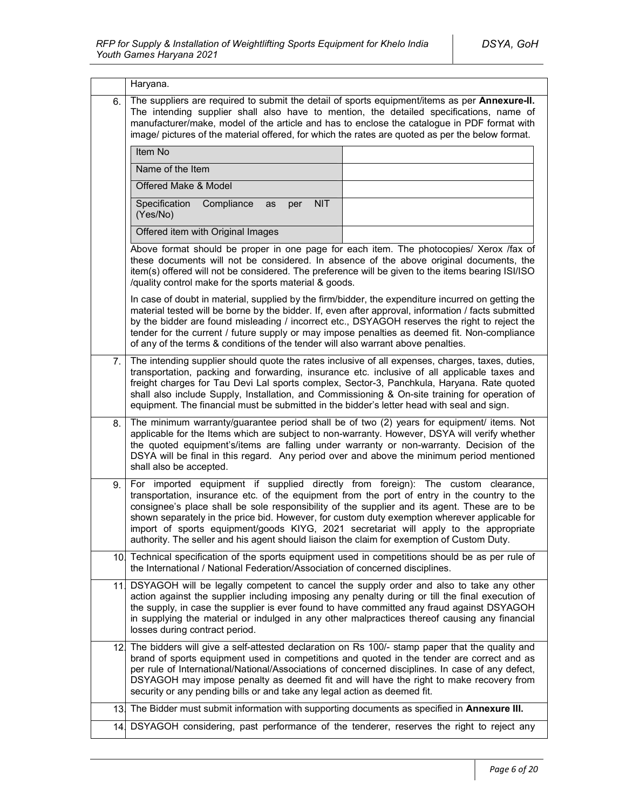|     | Haryana.                                                                                                                                                                                                                                                                                                                                                                                                                                                                                                                                                                  |  |
|-----|---------------------------------------------------------------------------------------------------------------------------------------------------------------------------------------------------------------------------------------------------------------------------------------------------------------------------------------------------------------------------------------------------------------------------------------------------------------------------------------------------------------------------------------------------------------------------|--|
| 6.  | The suppliers are required to submit the detail of sports equipment/items as per Annexure-II.<br>The intending supplier shall also have to mention, the detailed specifications, name of<br>manufacturer/make, model of the article and has to enclose the catalogue in PDF format with<br>image/ pictures of the material offered, for which the rates are quoted as per the below format.                                                                                                                                                                               |  |
|     | Item No                                                                                                                                                                                                                                                                                                                                                                                                                                                                                                                                                                   |  |
|     | Name of the Item                                                                                                                                                                                                                                                                                                                                                                                                                                                                                                                                                          |  |
|     | Offered Make & Model                                                                                                                                                                                                                                                                                                                                                                                                                                                                                                                                                      |  |
|     | Specification<br>Compliance<br><b>NIT</b><br>as<br>per<br>(Yes/No)                                                                                                                                                                                                                                                                                                                                                                                                                                                                                                        |  |
|     | Offered item with Original Images                                                                                                                                                                                                                                                                                                                                                                                                                                                                                                                                         |  |
|     | Above format should be proper in one page for each item. The photocopies/ Xerox /fax of<br>these documents will not be considered. In absence of the above original documents, the<br>item(s) offered will not be considered. The preference will be given to the items bearing ISI/ISO<br>/quality control make for the sports material & goods.                                                                                                                                                                                                                         |  |
|     | In case of doubt in material, supplied by the firm/bidder, the expenditure incurred on getting the<br>material tested will be borne by the bidder. If, even after approval, information / facts submitted<br>by the bidder are found misleading / incorrect etc., DSYAGOH reserves the right to reject the<br>tender for the current / future supply or may impose penalties as deemed fit. Non-compliance<br>of any of the terms & conditions of the tender will also warrant above penalties.                                                                           |  |
| 7.  | The intending supplier should quote the rates inclusive of all expenses, charges, taxes, duties,<br>transportation, packing and forwarding, insurance etc. inclusive of all applicable taxes and<br>freight charges for Tau Devi Lal sports complex, Sector-3, Panchkula, Haryana. Rate quoted<br>shall also include Supply, Installation, and Commissioning & On-site training for operation of<br>equipment. The financial must be submitted in the bidder's letter head with seal and sign.                                                                            |  |
| 8.  | The minimum warranty/guarantee period shall be of two (2) years for equipment/ items. Not<br>applicable for the Items which are subject to non-warranty. However, DSYA will verify whether<br>the quoted equipment's/items are falling under warranty or non-warranty. Decision of the<br>DSYA will be final in this regard. Any period over and above the minimum period mentioned<br>shall also be accepted.                                                                                                                                                            |  |
| 9.  | For imported equipment if supplied directly from foreign): The custom clearance,<br>transportation, insurance etc. of the equipment from the port of entry in the country to the<br>consignee's place shall be sole responsibility of the supplier and its agent. These are to be<br>shown separately in the price bid. However, for custom duty exemption wherever applicable for<br>import of sports equipment/goods KIYG, 2021 secretariat will apply to the appropriate<br>authority. The seller and his agent should liaison the claim for exemption of Custom Duty. |  |
| 10. | Technical specification of the sports equipment used in competitions should be as per rule of<br>the International / National Federation/Association of concerned disciplines.                                                                                                                                                                                                                                                                                                                                                                                            |  |
| 111 | DSYAGOH will be legally competent to cancel the supply order and also to take any other<br>action against the supplier including imposing any penalty during or till the final execution of<br>the supply, in case the supplier is ever found to have committed any fraud against DSYAGOH<br>in supplying the material or indulged in any other malpractices thereof causing any financial<br>losses during contract period.                                                                                                                                              |  |
|     | 12. The bidders will give a self-attested declaration on Rs 100/- stamp paper that the quality and<br>brand of sports equipment used in competitions and quoted in the tender are correct and as<br>per rule of International/National/Associations of concerned disciplines. In case of any defect,<br>DSYAGOH may impose penalty as deemed fit and will have the right to make recovery from<br>security or any pending bills or and take any legal action as deemed fit.                                                                                               |  |
| 13. | The Bidder must submit information with supporting documents as specified in Annexure III.                                                                                                                                                                                                                                                                                                                                                                                                                                                                                |  |
|     | 14. DSYAGOH considering, past performance of the tenderer, reserves the right to reject any                                                                                                                                                                                                                                                                                                                                                                                                                                                                               |  |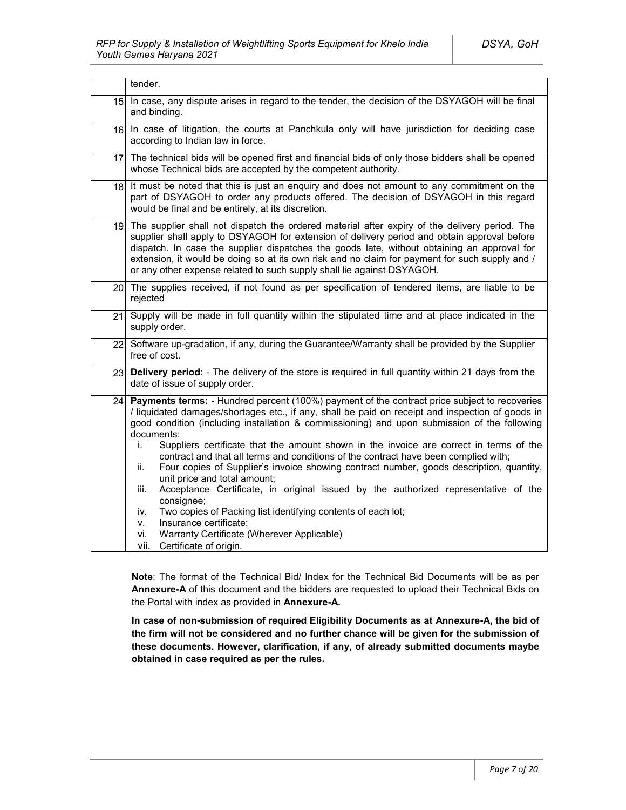|                 | tender.                                                                                                                                                                                                                                                                                                                                                                                                                                                                                                                                                                                                                                                                                                                                                                                                                                                                                                                                           |
|-----------------|---------------------------------------------------------------------------------------------------------------------------------------------------------------------------------------------------------------------------------------------------------------------------------------------------------------------------------------------------------------------------------------------------------------------------------------------------------------------------------------------------------------------------------------------------------------------------------------------------------------------------------------------------------------------------------------------------------------------------------------------------------------------------------------------------------------------------------------------------------------------------------------------------------------------------------------------------|
| 15 <sub>l</sub> | In case, any dispute arises in regard to the tender, the decision of the DSYAGOH will be final<br>and binding.                                                                                                                                                                                                                                                                                                                                                                                                                                                                                                                                                                                                                                                                                                                                                                                                                                    |
|                 | 16 In case of litigation, the courts at Panchkula only will have jurisdiction for deciding case<br>according to Indian law in force.                                                                                                                                                                                                                                                                                                                                                                                                                                                                                                                                                                                                                                                                                                                                                                                                              |
|                 | 17 The technical bids will be opened first and financial bids of only those bidders shall be opened<br>whose Technical bids are accepted by the competent authority.                                                                                                                                                                                                                                                                                                                                                                                                                                                                                                                                                                                                                                                                                                                                                                              |
|                 | 18. It must be noted that this is just an enquiry and does not amount to any commitment on the<br>part of DSYAGOH to order any products offered. The decision of DSYAGOH in this regard<br>would be final and be entirely, at its discretion.                                                                                                                                                                                                                                                                                                                                                                                                                                                                                                                                                                                                                                                                                                     |
|                 | 19. The supplier shall not dispatch the ordered material after expiry of the delivery period. The<br>supplier shall apply to DSYAGOH for extension of delivery period and obtain approval before<br>dispatch. In case the supplier dispatches the goods late, without obtaining an approval for<br>extension, it would be doing so at its own risk and no claim for payment for such supply and /<br>or any other expense related to such supply shall lie against DSYAGOH.                                                                                                                                                                                                                                                                                                                                                                                                                                                                       |
|                 | 20. The supplies received, if not found as per specification of tendered items, are liable to be<br>rejected                                                                                                                                                                                                                                                                                                                                                                                                                                                                                                                                                                                                                                                                                                                                                                                                                                      |
| 21.             | Supply will be made in full quantity within the stipulated time and at place indicated in the<br>supply order.                                                                                                                                                                                                                                                                                                                                                                                                                                                                                                                                                                                                                                                                                                                                                                                                                                    |
|                 | 22 Software up-gradation, if any, during the Guarantee/Warranty shall be provided by the Supplier<br>free of cost.                                                                                                                                                                                                                                                                                                                                                                                                                                                                                                                                                                                                                                                                                                                                                                                                                                |
| 23.             | Delivery period: - The delivery of the store is required in full quantity within 21 days from the<br>date of issue of supply order.                                                                                                                                                                                                                                                                                                                                                                                                                                                                                                                                                                                                                                                                                                                                                                                                               |
| 24.             | Payments terms: - Hundred percent (100%) payment of the contract price subject to recoveries<br>/ liquidated damages/shortages etc., if any, shall be paid on receipt and inspection of goods in<br>good condition (including installation & commissioning) and upon submission of the following<br>documents:<br>Suppliers certificate that the amount shown in the invoice are correct in terms of the<br>i.<br>contract and that all terms and conditions of the contract have been complied with;<br>Four copies of Supplier's invoice showing contract number, goods description, quantity,<br>ii.<br>unit price and total amount;<br>Acceptance Certificate, in original issued by the authorized representative of the<br>iii.<br>consignee;<br>Two copies of Packing list identifying contents of each lot;<br>iv.<br>Insurance certificate;<br>V.<br>Warranty Certificate (Wherever Applicable)<br>vi.<br>vii.<br>Certificate of origin. |

**Note**: The format of the Technical Bid/ Index for the Technical Bid Documents will be as per **Annexure-A** of this document and the bidders are requested to upload their Technical Bids on the Portal with index as provided in **Annexure-A.**

**In case of non-submission of required Eligibility Documents as at Annexure-A, the bid of the firm will not be considered and no further chance will be given for the submission of these documents. However, clarification, if any, of already submitted documents maybe obtained in case required as per the rules.**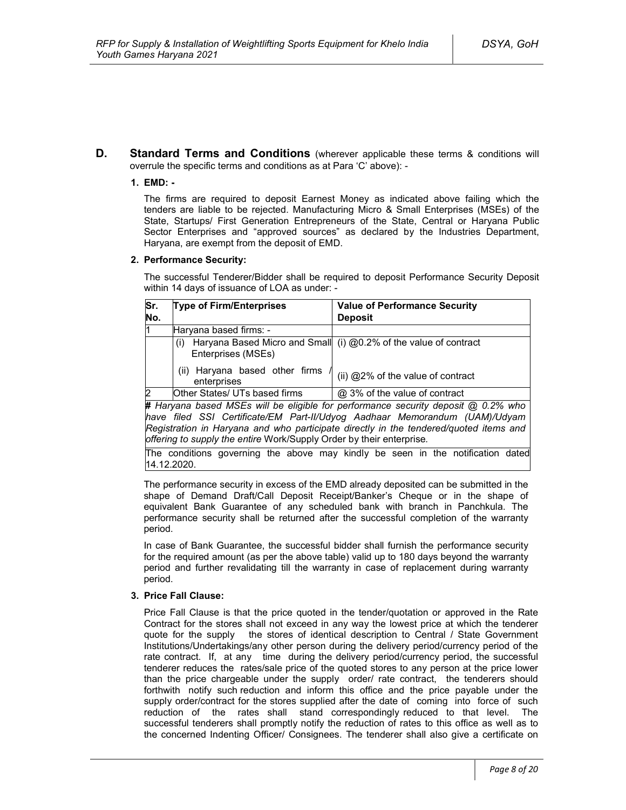**D. Standard Terms and Conditions** (wherever applicable these terms & conditions will overrule the specific terms and conditions as at Para 'C' above): -

### **1. EMD: -**

The firms are required to deposit Earnest Money as indicated above failing which the tenders are liable to be rejected. Manufacturing Micro & Small Enterprises (MSEs) of the State, Startups/ First Generation Entrepreneurs of the State, Central or Haryana Public Sector Enterprises and "approved sources" as declared by the Industries Department, Haryana, are exempt from the deposit of EMD.

### **2. Performance Security:**

The successful Tenderer/Bidder shall be required to deposit Performance Security Deposit within 14 days of issuance of LOA as under: -

| Sr.            | <b>Type of Firm/Enterprises</b>               | <b>Value of Performance Security</b>                             |
|----------------|-----------------------------------------------|------------------------------------------------------------------|
| No.            |                                               | <b>Deposit</b>                                                   |
| l1             | Haryana based firms: -                        |                                                                  |
|                | (i)<br>Enterprises (MSEs)                     | Haryana Based Micro and Small (i) @0.2% of the value of contract |
|                | (ii) Haryana based other firms<br>enterprises | (ii) @2% of the value of contract                                |
| $\overline{2}$ | Other States/ UTs based firms                 | @ 3% of the value of contract                                    |

**#** *Haryana based MSEs will be eligible for performance security deposit @ 0.2% who have filed SSI Certificate/EM Part-II/Udyog Aadhaar Memorandum (UAM)/Udyam Registration in Haryana and who participate directly in the tendered/quoted items and offering to supply the entire* Work/Supply Order by their enterprise*.*

The conditions governing the above may kindly be seen in the notification dated 14.12.2020.

The performance security in excess of the EMD already deposited can be submitted in the shape of Demand Draft/Call Deposit Receipt/Banker's Cheque or in the shape of equivalent Bank Guarantee of any scheduled bank with branch in Panchkula. The performance security shall be returned after the successful completion of the warranty period.

In case of Bank Guarantee, the successful bidder shall furnish the performance security for the required amount (as per the above table) valid up to 180 days beyond the warranty period and further revalidating till the warranty in case of replacement during warranty period.

#### **3. Price Fall Clause:**

Price Fall Clause is that the price quoted in the tender/quotation or approved in the Rate Contract for the stores shall not exceed in any way the lowest price at which the tenderer quote for the supply the stores of identical description to Central / State Government Institutions/Undertakings/any other person during the delivery period/currency period of the rate contract. If, at any time during the delivery period/currency period, the successful tenderer reduces the rates/sale price of the quoted stores to any person at the price lower than the price chargeable under the supply order/ rate contract, the tenderers should forthwith notify such reduction and inform this office and the price payable under the supply order/contract for the stores supplied after the date of coming into force of such reduction of the rates shall stand correspondingly reduced to that level. The successful tenderers shall promptly notify the reduction of rates to this office as well as to the concerned Indenting Officer/ Consignees. The tenderer shall also give a certificate on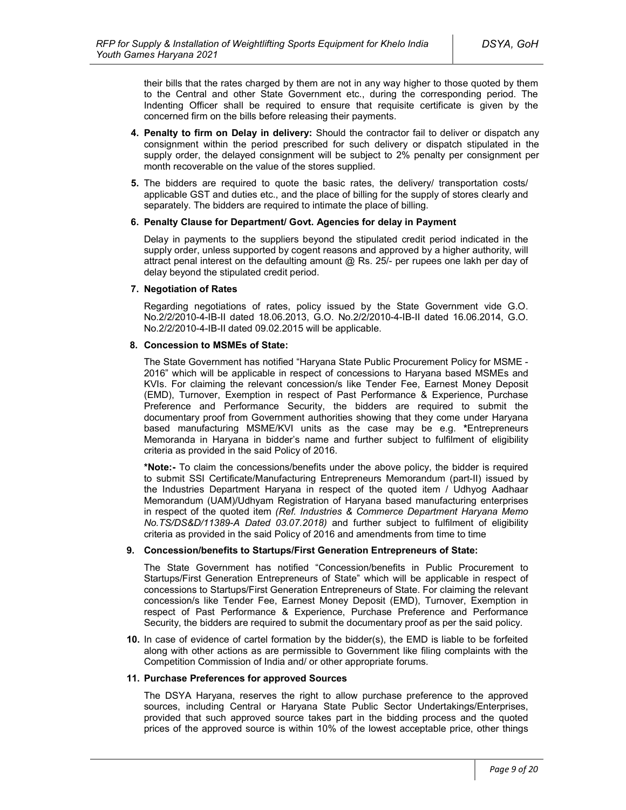their bills that the rates charged by them are not in any way higher to those quoted by them to the Central and other State Government etc., during the corresponding period. The Indenting Officer shall be required to ensure that requisite certificate is given by the concerned firm on the bills before releasing their payments.

- **4. Penalty to firm on Delay in delivery:** Should the contractor fail to deliver or dispatch any consignment within the period prescribed for such delivery or dispatch stipulated in the supply order, the delayed consignment will be subject to 2% penalty per consignment per month recoverable on the value of the stores supplied.
- **5.** The bidders are required to quote the basic rates, the delivery/ transportation costs/ applicable GST and duties etc., and the place of billing for the supply of stores clearly and separately. The bidders are required to intimate the place of billing.

#### **6. Penalty Clause for Department/ Govt. Agencies for delay in Payment**

Delay in payments to the suppliers beyond the stipulated credit period indicated in the supply order, unless supported by cogent reasons and approved by a higher authority, will attract penal interest on the defaulting amount  $@$  Rs. 25/- per rupees one lakh per day of delay beyond the stipulated credit period.

#### **7. Negotiation of Rates**

Regarding negotiations of rates, policy issued by the State Government vide G.O. No.2/2/2010-4-IB-II dated 18.06.2013, G.O. No.2/2/2010-4-IB-II dated 16.06.2014, G.O. No.2/2/2010-4-IB-II dated 09.02.2015 will be applicable.

#### **8. Concession to MSMEs of State:**

The State Government has notified "Haryana State Public Procurement Policy for MSME - 2016" which will be applicable in respect of concessions to Haryana based MSMEs and KVIs. For claiming the relevant concession/s like Tender Fee, Earnest Money Deposit (EMD), Turnover, Exemption in respect of Past Performance & Experience, Purchase Preference and Performance Security, the bidders are required to submit the documentary proof from Government authorities showing that they come under Haryana based manufacturing MSME/KVI units as the case may be e.g. **\***Entrepreneurs Memoranda in Haryana in bidder's name and further subject to fulfilment of eligibility criteria as provided in the said Policy of 2016.

**\*Note:-** To claim the concessions/benefits under the above policy, the bidder is required to submit SSI Certificate/Manufacturing Entrepreneurs Memorandum (part-II) issued by the Industries Department Haryana in respect of the quoted item / Udhyog Aadhaar Memorandum (UAM)/Udhyam Registration of Haryana based manufacturing enterprises in respect of the quoted item *(Ref. Industries & Commerce Department Haryana Memo No.TS/DS&D/11389-A Dated 03.07.2018)* and further subject to fulfilment of eligibility criteria as provided in the said Policy of 2016 and amendments from time to time

### **9. Concession/benefits to Startups/First Generation Entrepreneurs of State:**

The State Government has notified "Concession/benefits in Public Procurement to Startups/First Generation Entrepreneurs of State" which will be applicable in respect of concessions to Startups/First Generation Entrepreneurs of State. For claiming the relevant concession/s like Tender Fee, Earnest Money Deposit (EMD), Turnover, Exemption in respect of Past Performance & Experience, Purchase Preference and Performance Security, the bidders are required to submit the documentary proof as per the said policy.

**10.** In case of evidence of cartel formation by the bidder(s), the EMD is liable to be forfeited along with other actions as are permissible to Government like filing complaints with the Competition Commission of India and/ or other appropriate forums.

#### **11. Purchase Preferences for approved Sources**

The DSYA Haryana, reserves the right to allow purchase preference to the approved sources, including Central or Haryana State Public Sector Undertakings/Enterprises, provided that such approved source takes part in the bidding process and the quoted prices of the approved source is within 10% of the lowest acceptable price, other things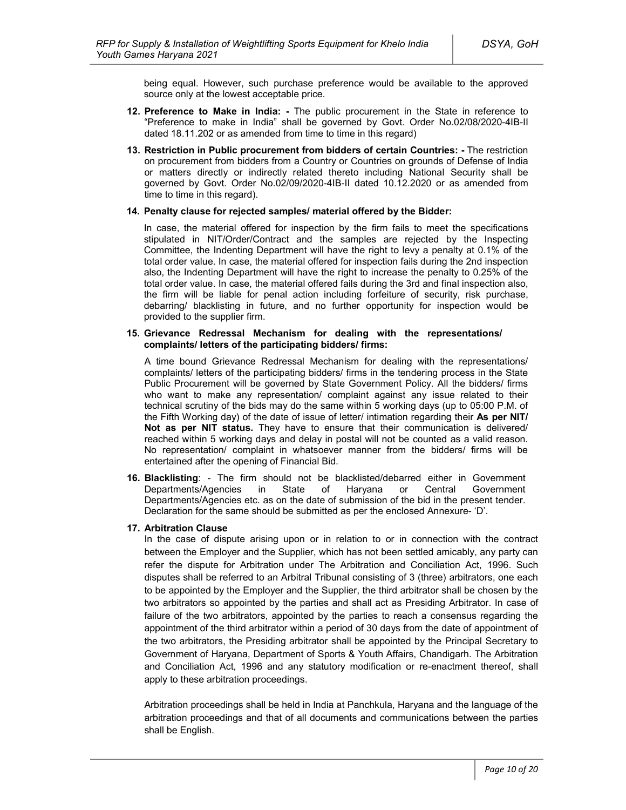being equal. However, such purchase preference would be available to the approved source only at the lowest acceptable price.

- **12. Preference to Make in India: -** The public procurement in the State in reference to "Preference to make in India" shall be governed by Govt. Order No.02/08/2020-4IB-II dated 18.11.202 or as amended from time to time in this regard)
- **13. Restriction in Public procurement from bidders of certain Countries: -** The restriction on procurement from bidders from a Country or Countries on grounds of Defense of India or matters directly or indirectly related thereto including National Security shall be governed by Govt. Order No.02/09/2020-4IB-II dated 10.12.2020 or as amended from time to time in this regard).

#### **14. Penalty clause for rejected samples/ material offered by the Bidder:**

In case, the material offered for inspection by the firm fails to meet the specifications stipulated in NIT/Order/Contract and the samples are rejected by the Inspecting Committee, the Indenting Department will have the right to levy a penalty at 0.1% of the total order value. In case, the material offered for inspection fails during the 2nd inspection also, the Indenting Department will have the right to increase the penalty to 0.25% of the total order value. In case, the material offered fails during the 3rd and final inspection also, the firm will be liable for penal action including forfeiture of security, risk purchase, debarring/ blacklisting in future, and no further opportunity for inspection would be provided to the supplier firm.

#### **15. Grievance Redressal Mechanism for dealing with the representations/ complaints/ letters of the participating bidders/ firms:**

A time bound Grievance Redressal Mechanism for dealing with the representations/ complaints/ letters of the participating bidders/ firms in the tendering process in the State Public Procurement will be governed by State Government Policy. All the bidders/ firms who want to make any representation/ complaint against any issue related to their technical scrutiny of the bids may do the same within 5 working days (up to 05:00 P.M. of the Fifth Working day) of the date of issue of letter/ intimation regarding their **As per NIT/ Not as per NIT status.** They have to ensure that their communication is delivered/ reached within 5 working days and delay in postal will not be counted as a valid reason. No representation/ complaint in whatsoever manner from the bidders/ firms will be entertained after the opening of Financial Bid.

**16. Blacklisting**: - The firm should not be blacklisted/debarred either in Government Departments/Agencies in State of Haryana or Central Government Departments/Agencies etc. as on the date of submission of the bid in the present tender. Declaration for the same should be submitted as per the enclosed Annexure- 'D'.

#### **17. Arbitration Clause**

In the case of dispute arising upon or in relation to or in connection with the contract between the Employer and the Supplier, which has not been settled amicably, any party can refer the dispute for Arbitration under The Arbitration and Conciliation Act, 1996. Such disputes shall be referred to an Arbitral Tribunal consisting of 3 (three) arbitrators, one each to be appointed by the Employer and the Supplier, the third arbitrator shall be chosen by the two arbitrators so appointed by the parties and shall act as Presiding Arbitrator. In case of failure of the two arbitrators, appointed by the parties to reach a consensus regarding the appointment of the third arbitrator within a period of 30 days from the date of appointment of the two arbitrators, the Presiding arbitrator shall be appointed by the Principal Secretary to Government of Haryana, Department of Sports & Youth Affairs, Chandigarh. The Arbitration and Conciliation Act, 1996 and any statutory modification or re-enactment thereof, shall apply to these arbitration proceedings.

Arbitration proceedings shall be held in India at Panchkula, Haryana and the language of the arbitration proceedings and that of all documents and communications between the parties shall be English.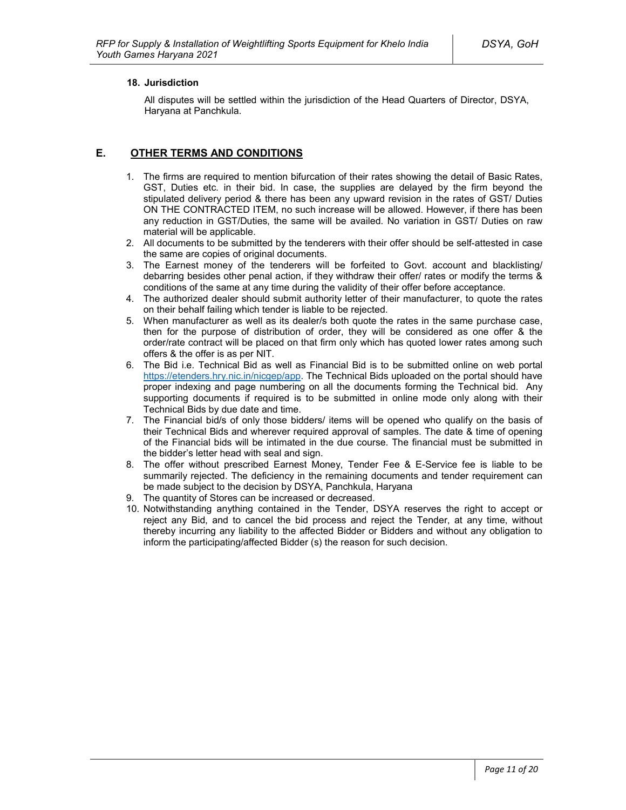### **18. Jurisdiction**

All disputes will be settled within the jurisdiction of the Head Quarters of Director, DSYA, Haryana at Panchkula.

### **E. OTHER TERMS AND CONDITIONS**

- 1. The firms are required to mention bifurcation of their rates showing the detail of Basic Rates, GST, Duties etc. in their bid. In case, the supplies are delayed by the firm beyond the stipulated delivery period & there has been any upward revision in the rates of GST/ Duties ON THE CONTRACTED ITEM, no such increase will be allowed. However, if there has been any reduction in GST/Duties, the same will be availed. No variation in GST/ Duties on raw material will be applicable.
- 2. All documents to be submitted by the tenderers with their offer should be self-attested in case the same are copies of original documents.
- 3. The Earnest money of the tenderers will be forfeited to Govt. account and blacklisting/ debarring besides other penal action, if they withdraw their offer/ rates or modify the terms & conditions of the same at any time during the validity of their offer before acceptance.
- 4. The authorized dealer should submit authority letter of their manufacturer, to quote the rates on their behalf failing which tender is liable to be rejected.
- 5. When manufacturer as well as its dealer/s both quote the rates in the same purchase case, then for the purpose of distribution of order, they will be considered as one offer & the order/rate contract will be placed on that firm only which has quoted lower rates among such offers & the offer is as per NIT.
- 6. The Bid i.e. Technical Bid as well as Financial Bid is to be submitted online on web portal https://etenders.hry.nic.in/nicgep/app. The Technical Bids uploaded on the portal should have proper indexing and page numbering on all the documents forming the Technical bid. Any supporting documents if required is to be submitted in online mode only along with their Technical Bids by due date and time.
- 7. The Financial bid/s of only those bidders/ items will be opened who qualify on the basis of their Technical Bids and wherever required approval of samples. The date & time of opening of the Financial bids will be intimated in the due course. The financial must be submitted in the bidder's letter head with seal and sign.
- 8. The offer without prescribed Earnest Money, Tender Fee & E-Service fee is liable to be summarily rejected. The deficiency in the remaining documents and tender requirement can be made subject to the decision by DSYA, Panchkula, Haryana
- 9. The quantity of Stores can be increased or decreased.
- 10. Notwithstanding anything contained in the Tender, DSYA reserves the right to accept or reject any Bid, and to cancel the bid process and reject the Tender, at any time, without thereby incurring any liability to the affected Bidder or Bidders and without any obligation to inform the participating/affected Bidder (s) the reason for such decision.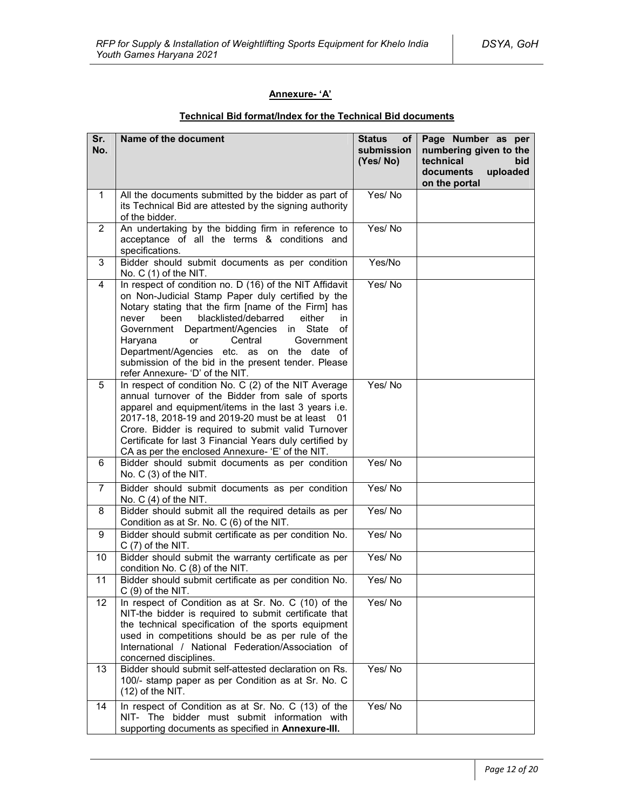### **Annexure- 'A'**

| Sr.<br>No.     | Name of the document                                                                                                                                                                                                                                                                                                                                                                                                                                                | <b>Status</b><br>of <sub>1</sub><br>submission<br>(Yes/No) | Page Number as per<br>numbering given to the<br>technical<br>bid<br>documents<br>uploaded<br>on the portal |
|----------------|---------------------------------------------------------------------------------------------------------------------------------------------------------------------------------------------------------------------------------------------------------------------------------------------------------------------------------------------------------------------------------------------------------------------------------------------------------------------|------------------------------------------------------------|------------------------------------------------------------------------------------------------------------|
| $\mathbf{1}$   | All the documents submitted by the bidder as part of<br>its Technical Bid are attested by the signing authority<br>of the bidder.                                                                                                                                                                                                                                                                                                                                   | Yes/No                                                     |                                                                                                            |
| $\overline{2}$ | An undertaking by the bidding firm in reference to<br>acceptance of all the terms & conditions and<br>specifications.                                                                                                                                                                                                                                                                                                                                               | Yes/No                                                     |                                                                                                            |
| 3              | Bidder should submit documents as per condition<br>No. $C(1)$ of the NIT.                                                                                                                                                                                                                                                                                                                                                                                           | Yes/No                                                     |                                                                                                            |
| 4              | In respect of condition no. D (16) of the NIT Affidavit<br>on Non-Judicial Stamp Paper duly certified by the<br>Notary stating that the firm [name of the Firm] has<br>blacklisted/debarred<br>never<br>been<br>either<br>in.<br>Department/Agencies in State<br>of<br>Government<br>Haryana<br>Central<br>Government<br>or<br>Department/Agencies etc. as on the date of<br>submission of the bid in the present tender. Please<br>refer Annexure- 'D' of the NIT. | Yes/No                                                     |                                                                                                            |
| 5              | In respect of condition No. C (2) of the NIT Average<br>annual turnover of the Bidder from sale of sports<br>apparel and equipment/items in the last 3 years i.e.<br>2017-18, 2018-19 and 2019-20 must be at least 01<br>Crore. Bidder is required to submit valid Turnover<br>Certificate for last 3 Financial Years duly certified by<br>CA as per the enclosed Annexure- 'E' of the NIT.                                                                         | Yes/No                                                     |                                                                                                            |
| 6              | Bidder should submit documents as per condition<br>No. C (3) of the NIT.                                                                                                                                                                                                                                                                                                                                                                                            | Yes/No                                                     |                                                                                                            |
| $\overline{7}$ | Bidder should submit documents as per condition<br>No. $C(4)$ of the NIT.                                                                                                                                                                                                                                                                                                                                                                                           | Yes/No                                                     |                                                                                                            |
| 8              | Bidder should submit all the required details as per<br>Condition as at Sr. No. C (6) of the NIT.                                                                                                                                                                                                                                                                                                                                                                   | Yes/No                                                     |                                                                                                            |
| 9              | Bidder should submit certificate as per condition No.<br>$C(7)$ of the NIT.                                                                                                                                                                                                                                                                                                                                                                                         | Yes/No                                                     |                                                                                                            |
| 10             | Bidder should submit the warranty certificate as per<br>condition No. C (8) of the NIT.                                                                                                                                                                                                                                                                                                                                                                             | Yes/No                                                     |                                                                                                            |
| 11             | Bidder should submit certificate as per condition No.<br>$C(9)$ of the NIT.                                                                                                                                                                                                                                                                                                                                                                                         | Yes/No                                                     |                                                                                                            |
| 12<br>13       | In respect of Condition as at Sr. No. C (10) of the<br>NIT-the bidder is required to submit certificate that<br>the technical specification of the sports equipment<br>used in competitions should be as per rule of the<br>International / National Federation/Association of<br>concerned disciplines.<br>Bidder should submit self-attested declaration on Rs.                                                                                                   | Yes/No<br>Yes/No                                           |                                                                                                            |
|                | 100/- stamp paper as per Condition as at Sr. No. C<br>(12) of the NIT.                                                                                                                                                                                                                                                                                                                                                                                              |                                                            |                                                                                                            |
| 14             | In respect of Condition as at Sr. No. C (13) of the<br>NIT- The bidder must submit information with<br>supporting documents as specified in Annexure-III.                                                                                                                                                                                                                                                                                                           | Yes/No                                                     |                                                                                                            |

### **Technical Bid format/Index for the Technical Bid documents**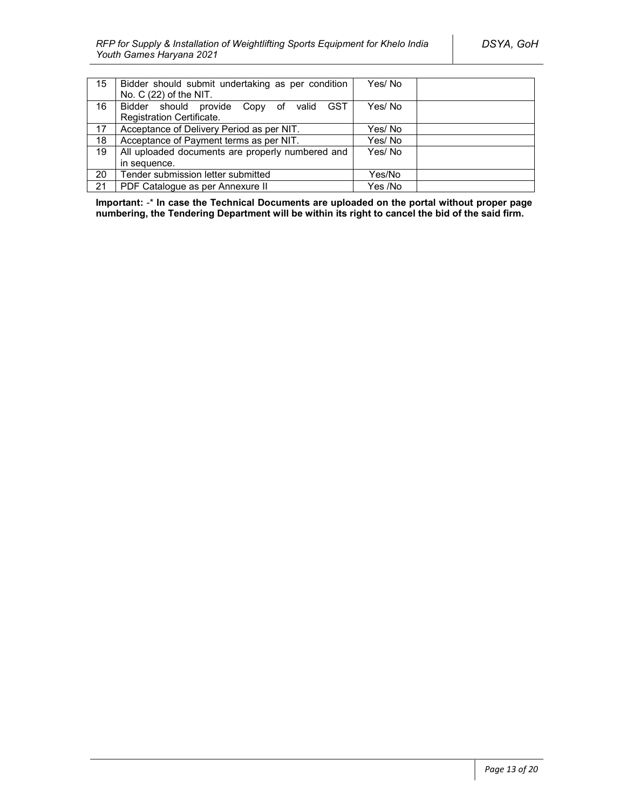| 15 | Bidder should submit undertaking as per condition<br>No. $C(22)$ of the NIT. | Yes/No  |  |
|----|------------------------------------------------------------------------------|---------|--|
| 16 | Bidder should provide Copy of valid GST                                      | Yes/No  |  |
|    | Registration Certificate.                                                    |         |  |
| 17 | Acceptance of Delivery Period as per NIT.                                    | Yes/No  |  |
| 18 | Acceptance of Payment terms as per NIT.                                      | Yes/No  |  |
| 19 | All uploaded documents are properly numbered and                             | Yes/No  |  |
|    | in sequence.                                                                 |         |  |
| 20 | Tender submission letter submitted                                           | Yes/No  |  |
| 21 | PDF Catalogue as per Annexure II                                             | Yes /No |  |

**Important:** -\* **In case the Technical Documents are uploaded on the portal without proper page numbering, the Tendering Department will be within its right to cancel the bid of the said firm.**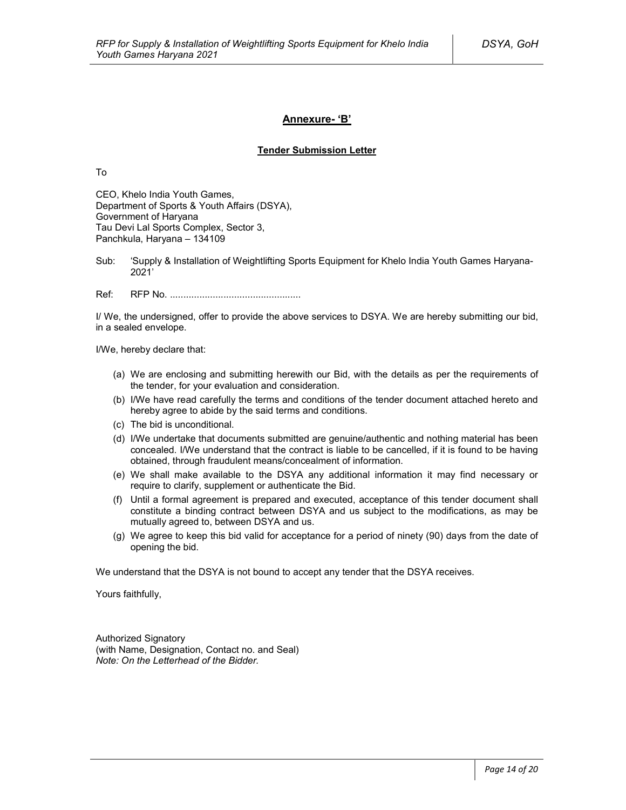### **Annexure- 'B'**

#### **Tender Submission Letter**

To

CEO, Khelo India Youth Games, Department of Sports & Youth Affairs (DSYA), Government of Haryana Tau Devi Lal Sports Complex, Sector 3, Panchkula, Haryana – 134109

Sub: 'Supply & Installation of Weightlifting Sports Equipment for Khelo India Youth Games Haryana-2021'

Ref: RFP No. .................................................

I/ We, the undersigned, offer to provide the above services to DSYA. We are hereby submitting our bid, in a sealed envelope.

I/We, hereby declare that:

- (a) We are enclosing and submitting herewith our Bid, with the details as per the requirements of the tender, for your evaluation and consideration.
- (b) I/We have read carefully the terms and conditions of the tender document attached hereto and hereby agree to abide by the said terms and conditions.
- (c) The bid is unconditional.
- (d) I/We undertake that documents submitted are genuine/authentic and nothing material has been concealed. I/We understand that the contract is liable to be cancelled, if it is found to be having obtained, through fraudulent means/concealment of information.
- (e) We shall make available to the DSYA any additional information it may find necessary or require to clarify, supplement or authenticate the Bid.
- (f) Until a formal agreement is prepared and executed, acceptance of this tender document shall constitute a binding contract between DSYA and us subject to the modifications, as may be mutually agreed to, between DSYA and us.
- (g) We agree to keep this bid valid for acceptance for a period of ninety (90) days from the date of opening the bid.

We understand that the DSYA is not bound to accept any tender that the DSYA receives.

Yours faithfully,

Authorized Signatory (with Name, Designation, Contact no. and Seal) *Note: On the Letterhead of the Bidder.*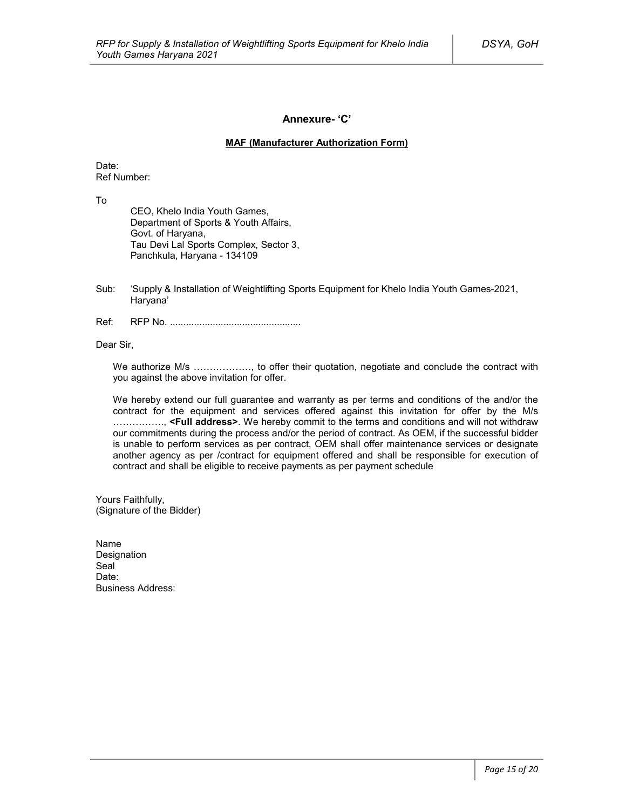### **Annexure- 'C'**

### **MAF (Manufacturer Authorization Form)**

Date: Ref Number:

To

CEO, Khelo India Youth Games, Department of Sports & Youth Affairs, Govt. of Haryana, Tau Devi Lal Sports Complex, Sector 3, Panchkula, Haryana - 134109

- Sub: 'Supply & Installation of Weightlifting Sports Equipment for Khelo India Youth Games-2021, Haryana'
- Ref: RFP No. .................................................

Dear Sir,

We authorize M/s ………………, to offer their quotation, negotiate and conclude the contract with you against the above invitation for offer.

We hereby extend our full guarantee and warranty as per terms and conditions of the and/or the contract for the equipment and services offered against this invitation for offer by the M/s ……………., **<Full address>**. We hereby commit to the terms and conditions and will not withdraw our commitments during the process and/or the period of contract. As OEM, if the successful bidder is unable to perform services as per contract, OEM shall offer maintenance services or designate another agency as per /contract for equipment offered and shall be responsible for execution of contract and shall be eligible to receive payments as per payment schedule

Yours Faithfully, (Signature of the Bidder)

Name Designation Seal<sup>1</sup> Date<sup>.</sup> Business Address: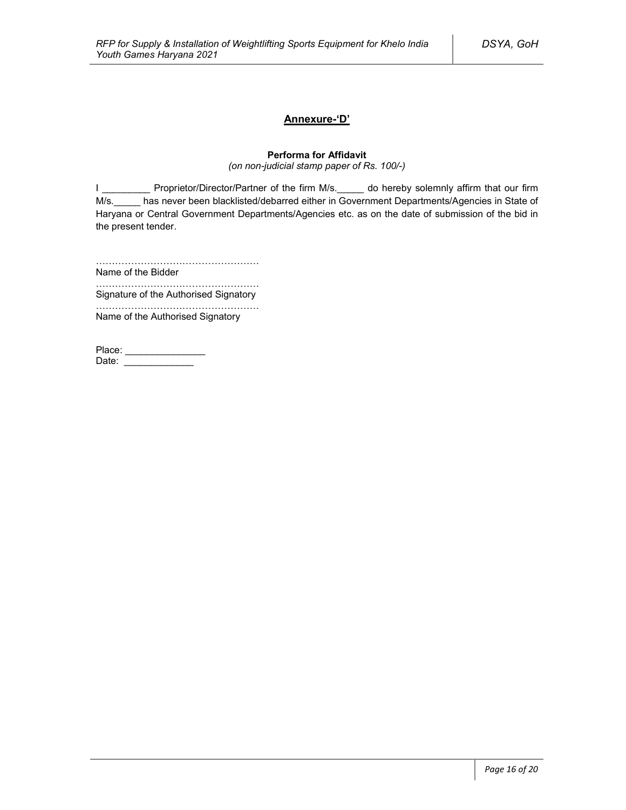### **Annexure-'D'**

### **Performa for Affidavit**

*(on non-judicial stamp paper of Rs. 100/-)*

I \_\_\_\_\_\_\_\_\_\_\_ Proprietor/Director/Partner of the firm M/s.\_\_\_\_\_ do hereby solemnly affirm that our firm M/s. has never been blacklisted/debarred either in Government Departments/Agencies in State of Haryana or Central Government Departments/Agencies etc. as on the date of submission of the bid in the present tender.

……………………………………………

Name of the Bidder ……………………………………………

Signature of the Authorised Signatory

…………………………………………… Name of the Authorised Signatory

| Place: |  |
|--------|--|
| Date:  |  |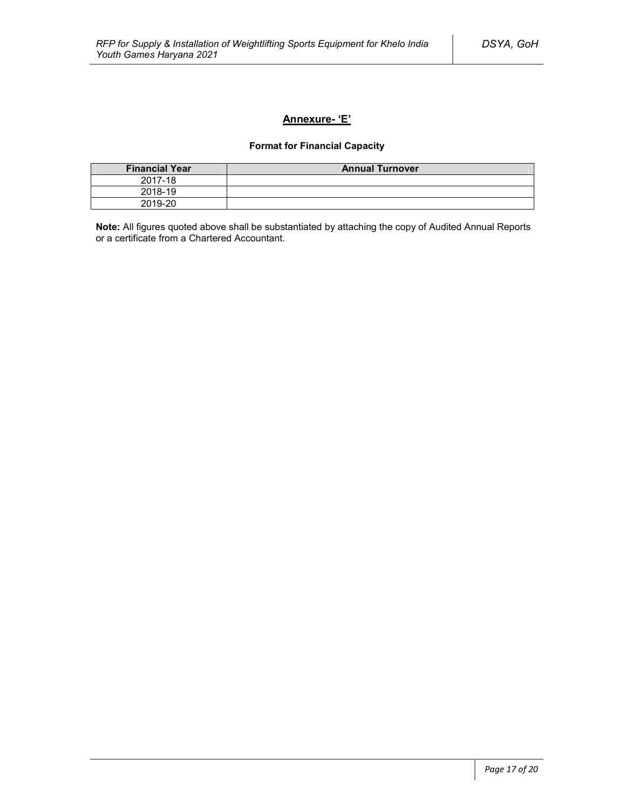### **Annexure- 'E'**

### **Format for Financial Capacity**

| <b>Financial Year</b> | <b>Annual Turnover</b> |
|-----------------------|------------------------|
| 2017-18               |                        |
| 2018-19               |                        |
| 2019-20               |                        |

**Note:** All figures quoted above shall be substantiated by attaching the copy of Audited Annual Reports or a certificate from a Chartered Accountant.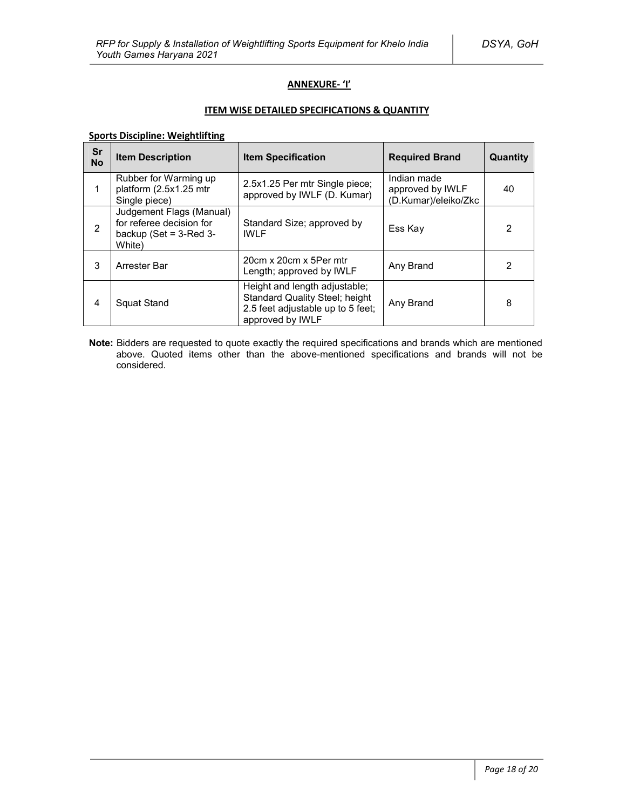### **ANNEXURE- 'I'**

### **ITEM WISE DETAILED SPECIFICATIONS & QUANTITY**

### **Sports Discipline: Weightlifting**

| Sr<br><b>No</b> | <b>Item Description</b>                                                                        | <b>Item Specification</b>                                                                                                       | <b>Required Brand</b>                                   | Quantity |
|-----------------|------------------------------------------------------------------------------------------------|---------------------------------------------------------------------------------------------------------------------------------|---------------------------------------------------------|----------|
| 1               | Rubber for Warming up<br>platform (2.5x1.25 mtr<br>Single piece)                               | 2.5x1.25 Per mtr Single piece;<br>approved by IWLF (D. Kumar)                                                                   | Indian made<br>approved by IWLF<br>(D.Kumar)/eleiko/Zkc | 40       |
| $\overline{2}$  | Judgement Flags (Manual)<br>for referee decision for<br>backup (Set = $3$ -Red $3$ -<br>White) | Standard Size; approved by<br><b>IWIF</b>                                                                                       | Ess Kay                                                 | 2        |
| 3               | Arrester Bar                                                                                   | 20cm x 20cm x 5Per mtr<br>Length; approved by IWLF                                                                              | Any Brand                                               | 2        |
| 4               | Squat Stand                                                                                    | Height and length adjustable;<br><b>Standard Quality Steel; height</b><br>2.5 feet adjustable up to 5 feet;<br>approved by IWLF | Any Brand                                               | 8        |

**Note:** Bidders are requested to quote exactly the required specifications and brands which are mentioned above. Quoted items other than the above-mentioned specifications and brands will not be considered.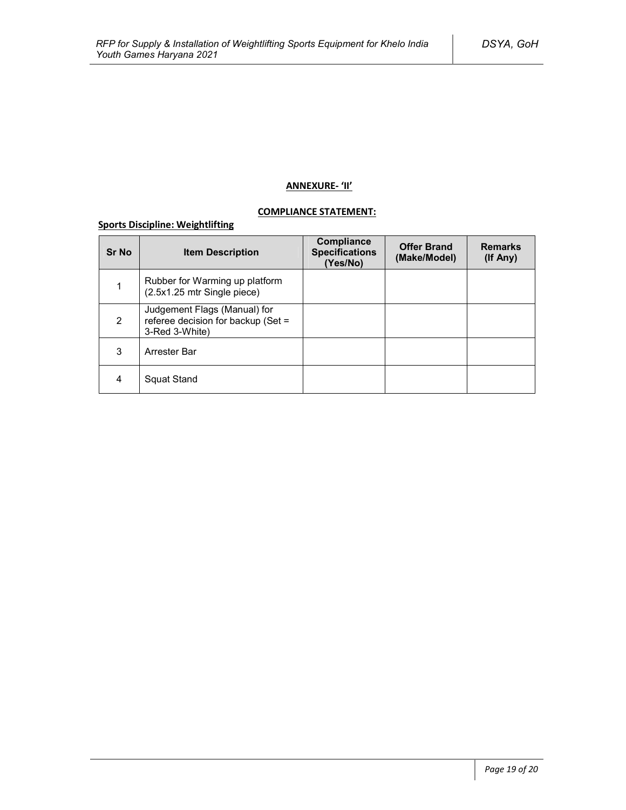### **ANNEXURE- 'II'**

### **COMPLIANCE STATEMENT:**

### **Sports Discipline: Weightlifting**

| <b>Sr No</b> | <b>Item Description</b>                                                                | <b>Compliance</b><br><b>Specifications</b><br>(Yes/No) | <b>Offer Brand</b><br>(Make/Model) | <b>Remarks</b><br>(If Any) |
|--------------|----------------------------------------------------------------------------------------|--------------------------------------------------------|------------------------------------|----------------------------|
|              | Rubber for Warming up platform<br>(2.5x1.25 mtr Single piece)                          |                                                        |                                    |                            |
| 2            | Judgement Flags (Manual) for<br>referee decision for backup (Set $=$<br>3-Red 3-White) |                                                        |                                    |                            |
| 3            | Arrester Bar                                                                           |                                                        |                                    |                            |
| 4            | Squat Stand                                                                            |                                                        |                                    |                            |